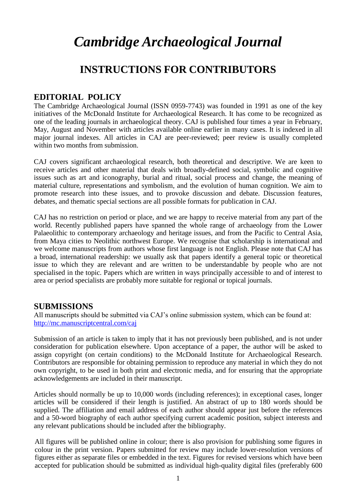# *Cambridge Archaeological Journal*

# **INSTRUCTIONS FOR CONTRIBUTORS**

# **EDITORIAL POLICY**

The Cambridge Archaeological Journal (ISSN 0959-7743) was founded in 1991 as one of the key initiatives of the McDonald Institute for Archaeological Research. It has come to be recognized as one of the leading journals in archaeological theory. CAJ is published four times a year in February, May, August and November with articles available online earlier in many cases. It is indexed in all major journal indexes. All articles in CAJ are peer-reviewed; peer review is usually completed within two months from submission.

CAJ covers significant archaeological research, both theoretical and descriptive. We are keen to receive articles and other material that deals with broadly-defined social, symbolic and cognitive issues such as art and iconography, burial and ritual, social process and change, the meaning of material culture, representations and symbolism, and the evolution of human cognition. We aim to promote research into these issues, and to provoke discussion and debate. Discussion features, debates, and thematic special sections are all possible formats for publication in CAJ.

CAJ has no restriction on period or place, and we are happy to receive material from any part of the world. Recently published papers have spanned the whole range of archaeology from the Lower Palaeolithic to contemporary archaeology and heritage issues, and from the Pacific to Central Asia, from Maya cities to Neolithic northwest Europe. We recognise that scholarship is international and we welcome manuscripts from authors whose first language is not English. Please note that CAJ has a broad, international readership: we usually ask that papers identify a general topic or theoretical issue to which they are relevant and are written to be understandable by people who are not specialised in the topic. Papers which are written in ways principally accessible to and of interest to area or period specialists are probably more suitable for regional or topical journals.

# **SUBMISSIONS**

All manuscripts should be submitted via CAJ's online submission system, which can be found at: <http://mc.manuscriptcentral.com/caj>

Submission of an article is taken to imply that it has not previously been published, and is not under consideration for publication elsewhere. Upon acceptance of a paper, the author will be asked to assign copyright (on certain conditions) to the McDonald Institute for Archaeological Research. Contributors are responsible for obtaining permission to reproduce any material in which they do not own copyright, to be used in both print and electronic media, and for ensuring that the appropriate acknowledgements are included in their manuscript.

Articles should normally be up to 10,000 words (including references); in exceptional cases, longer articles will be considered if their length is justified. An abstract of up to 180 words should be supplied. The affiliation and email address of each author should appear just before the references and a 50-word biography of each author specifying current academic position, subject interests and any relevant publications should be included after the bibliography.

All figures will be published online in colour; there is also provision for publishing some figures in colour in the print version. Papers submitted for review may include lower-resolution versions of figures either as separate files or embedded in the text. Figures for revised versions which have been accepted for publication should be submitted as individual high-quality digital files (preferably 600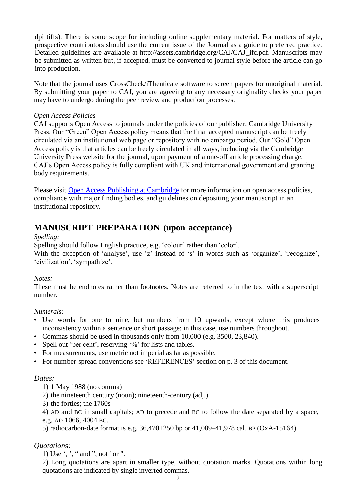dpi tiffs). There is some scope for including online supplementary material. For matters of style, prospective contributors should use the current issue of the Journal as a guide to preferred practice. Detailed guidelines are available at http://assets.cambridge.org/CAJ/CAJ\_ifc.pdf. Manuscripts may be submitted as written but, if accepted, must be converted to journal style before the article can go into production.

Note that the journal uses CrossCheck/iThenticate software to screen papers for unoriginal material. By submitting your paper to CAJ, you are agreeing to any necessary originality checks your paper may have to undergo during the peer review and production processes.

## *Open Access Policies*

CAJ supports Open Access to journals under the policies of our publisher, Cambridge University Press. Our "Green" Open Access policy means that the final accepted manuscript can be freely circulated via an institutional web page or repository with no embargo period. Our "Gold" Open Access policy is that articles can be freely circulated in all ways, including via the Cambridge University Press website for the journal, upon payment of a one-off article processing charge. CAJ's Open Access policy is fully compliant with UK and international government and granting body requirements.

Please visit [Open Access Publishing at Cambridge](http://journals.cambridge.org/action/displaySpecialPage?pageId=4576) for more information on open access policies, compliance with major finding bodies, and guidelines on depositing your manuscript in an institutional repository.

# **MANUSCRIPT PREPARATION (upon acceptance)**

#### *Spelling:*

Spelling should follow English practice, e.g. 'colour' rather than 'color'. With the exception of 'analyse', use 'z' instead of 's' in words such as 'organize', 'recognize', 'civilization', 'sympathize'.

# *Notes:*

These must be endnotes rather than footnotes. Notes are referred to in the text with a superscript number.

#### *Numerals:*

- Use words for one to nine, but numbers from 10 upwards, except where this produces inconsistency within a sentence or short passage; in this case, use numbers throughout.
- Commas should be used in thousands only from 10,000 (e.g. 3500, 23,840).
- Spell out 'per cent', reserving '%' for lists and tables.
- For measurements, use metric not imperial as far as possible.
- For number-spread conventions see 'REFERENCES' section on p. 3 of this document.

# *Dates:*

- 1) 1 May 1988 (no comma)
- 2) the nineteenth century (noun); nineteenth-century (adj.)
- 3) the forties; the 1760s

4) AD and BC in small capitals; AD to precede and BC to follow the date separated by a space, e.g. AD 1066, 4004 BC.

5) radiocarbon-date format is e.g. 36,470±250 bp or 41,089–41,978 cal. BP (OxA-15164)

# *Quotations:*

1) Use ', ', " and ", not ' or ".

2) Long quotations are apart in smaller type, without quotation marks. Quotations within long quotations are indicated by single inverted commas.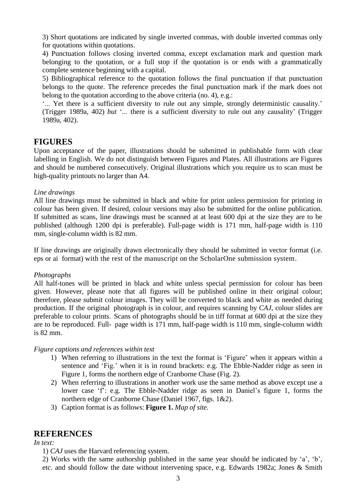3) Short quotations are indicated by single inverted commas, with double inverted commas only for quotations within quotations.

4) Punctuation follows closing inverted comma, except exclamation mark and question mark belonging to the quotation, or a full stop if the quotation is or ends with a grammatically complete sentence beginning with a capital.

5) Bibliographical reference to the quotation follows the final punctuation if that punctuation belongs to the quote. The reference precedes the final punctuation mark if the mark does not belong to the quotation according to the above criteria (no. 4), e.g.:

'... Yet there is a sufficient diversity to rule out any simple, strongly deterministic causality.' (Trigger 1989a, 402) *but* '... there is a sufficient diversity to rule out any causality' (Trigger 1989a, 402).

# **FIGURES**

Upon acceptance of the paper, illustrations should be submitted in publishable form with clear labelling in English. We do not distinguish between Figures and Plates. All illustrations are Figures and should be numbered consecutively. Original illustrations which you require us to scan must be high-quality printouts no larger than A4.

#### *Line drawings*

All line drawings must be submitted in black and white for print unless permission for printing in colour has been given. If desired, colour versions may also be submitted for the online publication. If submitted as scans, line drawings must be scanned at at least 600 dpi at the size they are to be published (although 1200 dpi is preferable). Full-page width is 171 mm, half-page width is 110 mm, single-column width is 82 mm.

If line drawings are originally drawn electronically they should be submitted in vector format (i.e. eps or ai format) with the rest of the manuscript on the ScholarOne submission system.

#### *Photographs*

All half-tones will be printed in black and white unless special permission for colour has been given. However, please note that all figures will be published online in their original colour; therefore, please submit colour images. They will be converted to black and white as needed during production. If the original photograph is in colour, and requires scanning by *CAJ*, colour slides are preferable to colour prints. Scans of photographs should be in tiff format at 600 dpi at the size they are to be reproduced. Full- page width is 171 mm, half-page width is 110 mm, single-column width is 82 mm.

#### *Figure captions and references within text*

- 1) When referring to illustrations in the text the format is 'Figure' when it appears within a sentence and 'Fig.' when it is in round brackets: e.g. The Ebble-Nadder ridge as seen in Figure 1, forms the northern edge of Cranborne Chase (Fig. 2).
- 2) When referring to illustrations in another work use the same method as above except use a lower case 'f': e.g. The Ebble-Nadder ridge as seen in Daniel's figure 1, forms the northern edge of Cranborne Chase (Daniel 1967, figs. 1&2).
- 3) Caption format is as follows: **Figure 1.** *Map of site.*

# **REFERENCES**

*In text:*

- 1) *CAJ* uses the Harvard referencing system.
- 2) Works with the same authorship published in the same year should be indicated by 'a', 'b', etc. and should follow the date without intervening space, e.g. Edwards 1982a; Jones & Smith